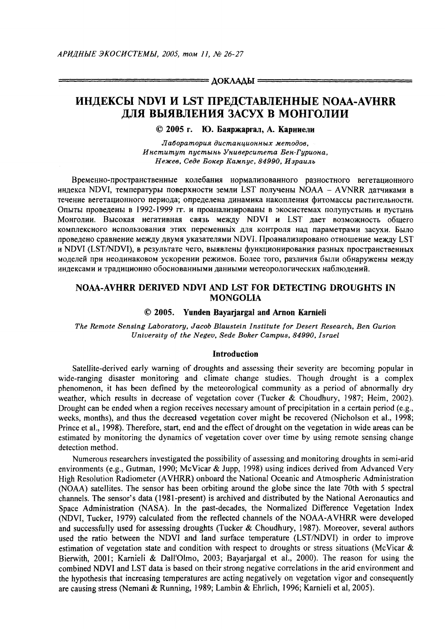$= \Delta$ OKAA $\Delta$ bi $=$ 

# ИНДЕКСЫ NDVI И LST ПРЕДСТАВЛЕННЫЕ NOAA-AVHRR ДЛЯ ВЫЯВЛЕНИЯ ЗАСУХ В МОНГОЛИИ

© 2005 г. Ю. Баяржаргал. А. Карниели

Лаборатория дистанционных методов. Институт пустынь Университета Бен-Гуриона. Нежев, Седе Бокер Кампус, 84990, Израиль

Временно-пространственные колебания нормализованного разностного вегетационного индекса NDVI, температуры поверхности земли LST получены NOAA - AVNRR датчиками в течение вегетационного периода; определена динамика накопления фитомассы растительности. Опыты проведены в 1992-1999 гг. и проанализированы в экосистемах полупустыны и пустыны Монголии. Высокая негативная связь между NDVI и LST дает возможность общего комплексного использования этих переменных для контроля над параметрами засухи. Было проведено сравнение между двумя указателями NDVI. Проанализировано отношение между LST и NDVI (LST/NDVI), в результате чего, выявлены функционирования разных пространственных моделей при неодинаковом ускорении режимов. Более того, различия были обнаружены между индексами и традиционно обоснованными данными метеорологических наблюдений.

# NOAA-AVHRR DERIVED NDVI AND LST FOR DETECTING DROUGHTS IN **MONGOLIA**

#### $© 2005.$ **Yunden Bavariargal and Arnon Karnieli**

The Remote Sensing Laboratory, Jacob Blaustein Institute for Desert Research, Ben Gurion University of the Negev, Sede Boker Campus, 84990, Israel

#### **Introduction**

Satellite-derived early warning of droughts and assessing their severity are becoming popular in wide-ranging disaster monitoring and climate change studies. Though drought is a complex phenomenon, it has been defined by the meteorological community as a period of abnormally dry weather, which results in decrease of vegetation cover (Tucker & Choudhury, 1987; Heim, 2002). Drought can be ended when a region receives necessary amount of precipitation in a certain period (e.g., weeks, months), and thus the decreased vegetation cover might be recovered (Nicholson et al., 1998; Prince et al., 1998). Therefore, start, end and the effect of drought on the vegetation in wide areas can be estimated by monitoring the dynamics of vegetation cover over time by using remote sensing change detection method.

Numerous researchers investigated the possibility of assessing and monitoring droughts in semi-arid environments (e.g., Gutman, 1990; McVicar & Jupp, 1998) using indices derived from Advanced Very High Resolution Radiometer (AVHRR) onboard the National Oceanic and Atmospheric Administration (NOAA) satellites. The sensor has been orbiting around the globe since the late 70th with 5 spectral channels. The sensor's data (1981-present) is archived and distributed by the National Aeronautics and Space Administration (NASA). In the past-decades, the Normalized Difference Vegetation Index (NDVI, Tucker, 1979) calculated from the reflected channels of the NOAA-AVHRR were developed and successfully used for assessing droughts (Tucker & Choudhury, 1987). Moreover, several authors used the ratio between the NDVI and land surface temperature (LST/NDVI) in order to improve estimation of vegetation state and condition with respect to droughts or stress situations (McVicar  $\&$ Bierwith, 2001; Karnieli & Dall'Olmo, 2003; Bayariargal et al., 2000). The reason for using the combined NDVI and LST data is based on their strong negative correlations in the arid environment and the hypothesis that increasing temperatures are acting negatively on vegetation vigor and consequently are causing stress (Nemani & Running, 1989; Lambin & Ehrlich, 1996; Karnieli et al, 2005).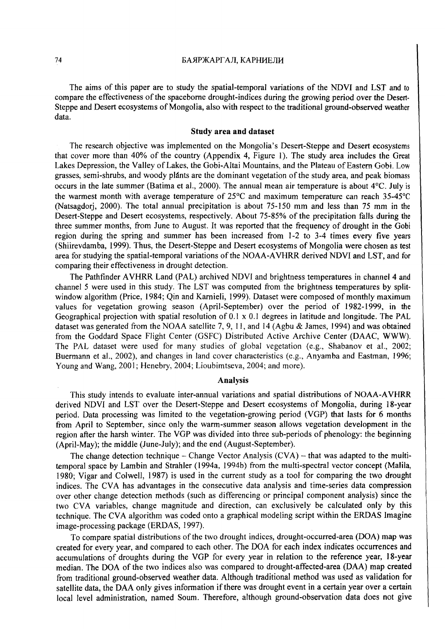The aims of this paper are to study the spatial-temporal variations of the NDVI and LST and to compare the effectiveness of the spaceborne drought-indices during the growing period over the Desert-Steppe and Desert ecosystems of Mongolia, also with respect to the traditional ground-observed weather data.

### Study area and dataset

The research objective was implemented on the Mongolia's Desert-Steppe and Desert ecosystems that cover more than 40% of the country (Appendix 4, Figure I). The study area includes the Great Lakes Depression, the Valley of Lakes, the Gobi-Altai Mountains, and the Plateau of Eastern Gobi. Low grasses, semi-shrubs, and woody plants are the dominant vegetation of the study area, and peak biomass occurs in the late summer (Batima et al., 2000). The annual mean air temperature is about 4°C. July is the warmest month with average temperature of 25°C and maximum temperature can reach 35-45°C (Natsagdorj, 2000). The total annual precipitation is about 75-150 mm and less than 75 mm in the Desert-Steppe and Desert ecosystems, respectively. About 75-85% of the precipitation falls during the three summer months, from June to August. It was reported that the frequency of drought in the Gobi region during the spring and summer has been increased from 1-2 to 3-4 times every five years (Shiirevdamba, 1999). Thus, the Desert-Steppe and Desert ecosystems of Mongolia were chosen as test area for studying the spatial-temporal variations of the NOAA-A VHRR derived NDVI and LST, and for comparing their effectiveness in drought detection.

The Pathfinder AVHRR Land (PAL) archived NDVI and brightness temperatures in channel 4 and channel 5 were used in this study. The LST was computed from the brightness temperatures by splitwindow algorithm (Price, 1984; Qin and Karnieli, 1999). Dataset were composed of monthly maximum values for vegetation growing season (April-September) over the period of 1982-1999, in the Geographical projection with spatial resolution of 0.1 x 0.1 degrees in latitude and longitude. The PAL dataset was generated from the NOAA satellite 7, 9, 11, and 14 (Agbu & James, 1994) and was obtained from the Goddard Space Flight Center (GSFC) Distributed Active Archive Center (DAAC, WWW). The PAL dataset were used for many studies of global vegetation (e.g., Shabanov et al., 2002; Buermann et al., 2002), and changes in land cover characteristics (e.g., Anyamba and Eastman, 1996; Young and Wang, 2001; Henebry, 2004; Lioubimtseva, 2004; and more).

# Analysis

This study intends to evaluate inter-annual variations and spatial distributions of NOAA-A VHRR derived NOVI and LST over the Desert-Steppe and Desert ecosystems of Mongolia, during 18-year period. Data processing was limited to the vegetation-growing period (VGP) that lasts for 6 months from April to September, since only the warm-summer season allows vegetation development in the region after the harsh winter. The VGP was divided into three sub-periods of phenology: the beginning (April-May); the middle (June-July); and the end (August-September).

The change detection technique – Change Vector Analysis  $(CVA)$  – that was adapted to the multitemporal space by Lambin and Strahler (1994a, 1994b) from the multi-spectral vector concept (Malila, 1980; Vigar and Colwell, 1987) is used in the current study as a tool for comparing the two drought indices. The CVA has advantages in the consecutive data analysis and time-series data compression over other change detection methods (such as differencing or principal component analysis) since the two CVA variables, change magnitude and direction, can exclusively be calculated only by this technique. The CVA algorithm was coded onto a graphical modeling script within the ERDAS Imagine image-processing package (ERDAS, 1997).

To compare spatial distributions of the two drought indices, drought-occurred-area (DOA) map was created for every year, and compared to each other. The DOA for each index indicates occurrences and accumulations of droughts during the VGP for every year in relation to the reference year, 18-year median. The DOA of the two indices also was compared to drought-affected-area (DAA) map created from traditional ground-observed weather data. Although traditional method was used as validation for satellite data, the DAA only gives information if there was drought event in a certain year over a certain local level administration, named Soum. Therefore, although ground-observation data does not give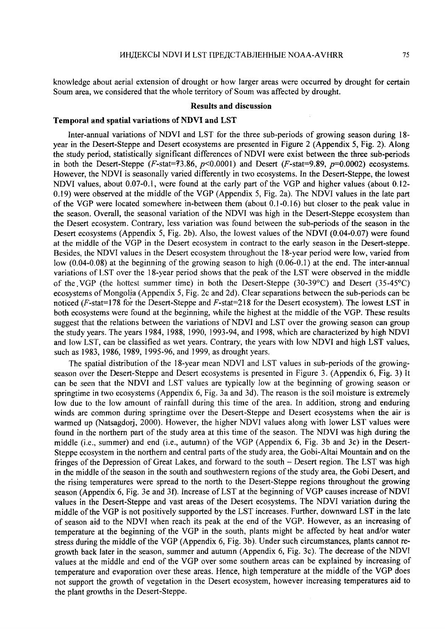knowledge about aerial extension of drought or how larger areas were occurred by drought for certain Soum area, we considered that the whole territory of Soum was affected by drought.

#### Results and discussion

### Temporal and spatial variations of NDVI and LST

Inter-annual variations of NDVI and LST for the three sub-periods of growing season during 18 year in the Desert-Steppe and Desert ecosystems are presented in Figure 2 (Appendix 5, Fig. 2). Along the study period, statistically significant differences of NDVI were exist between the three sub-periods in both the Desert-Steppe *(F-stat=73.86, p*<0.0001) and Desert *(F-stat=9.89, p=0.0002)* ecosystems. However, the NDVI is seasonally varied differently in two ecosystems. In the Desert-Steppe, the lowest NDVI values, about 0.07-0.1, were found at the early part of the VGP and higher values (about 0.12- 0.19) were observed at the middle of the VGP (Appendix 5, Fig. 2a). The NDVI values in the late part of the VGP were located somewhere in-between them (about 0.1-0.16) but closer to the peak value in the season. Overall, the seasonal variation of the NDVI was high in the Desert-Steppe ecosystem than the Desert ecosystem. Contrary, less variation was found between the sub-periods of the season in the Desert ecosystems (Appendix 5, Fig. 2b). Also, the lowest values of the NDVI (0.04-0.07) were found at the middle of the VGP in the Desert ecosystem in contract to the early season in the Desert-steppe. Besides, the NDVI values in the Desert ecosystem throughout the 18-year period were low, varied from low (0.04-0.08) at the beginning of the growing season to high (0.06-0.1) at the end. The inter-annual variations of LST over the 18-year period shows that the peak of the LST were observed in the middle of the. VGP (the hottest summer time) in both the Desert-Steppe (30-39°C) and Desert (35-45°C) ecosystems of Mongolia (Appendix 5, Fig. 2c and 2d). Clear separations between the sub-periods can be noticed (F-stat=178 for the Desert-Steppe and F-stat=218 for the Desert ecosystem). The lowest LST in both ecosystems were found at the beginning, while the highest at the middle of the VGP. These results suggest that the relations between the variations of NDVI and LST over the growing season can group the study years. The years 1984, 1988, 1990, 1993-94, and 1998, which are characterized by high NDVI and low LST, can be classified as wet years. Contrary, the years with low NDVI and high LST values, such as 1983, 1986, 1989, 1995-96, and 1999, as drought years.

The spatial distribution of the 18-year mean NDVI and LST values in sub-periods of the growingseason over the Desert-Steppe and Desert ecosystems is presented in Figure 3. (Appendix 6, Fig. 3) It can be seen that the NDVI and LST values are typically low at the beginning of growing season or springtime in two ecosystems (Appendix 6, Fig. 3a and 3d). The reason is the soil moisture is extremely low due to the low amount of rainfall during this time of the area. In addition, strong and enduring winds are common during springtime over the Desert-Steppe and Desert ecosystems when the air is warmed up (Natsagdorj, 2000). However, the higher NDVI values along with lower LST values were found in the northern part of the study area at this time of the season. The NDVI was high during the middle (i.e., summer) and end (i.e., autumn) of the VGP (Appendix 6, Fig. 3b and 3c) in the Desert-Steppe ecosystem in the northern and central parts of the study area, the Gobi-Altai Mountain and on the fringes of the Depression of Great Lakes, and forward to the south - Desert region. The LST was high in the middle of the season in the south and southwestern regions of the study area, the Gobi Desert, and the rising temperatures were spread to the north to the Desert-Steppe regions throughout the growing season (Appendix 6, Fig. 3e and 3f). Increase of LST at the beginning of VGP causes increase of NDVI values in the Desert-Steppe and vast areas of the Desert ecosystems. The NDVI variation during the middle of the VGP is not positively supported by the LST increases. Further, downward LST in the late of season aid to the NDVI when reach its peak at the end of the VGP. However, as an increasing of temperature at the beginning of the VGP in the south, plants might be affected by heat and/or water stress during the middle of the VGP (Appendix 6, Fig. 3b). Under such circumstances, plants cannot regrowth back later in the season, summer and autumn (Appendix 6, Fig. 3c ). The decrease of the NDVI values at the middle and end of the VGP over some southern areas can be explained by increasing of temperature and evaporation over these areas. Hence, high temperature at the middle of the VGP does not support the growth of vegetation in the Desert ecosystem, however increasing temperatures aid to the plant growths in the Desert-Steppe.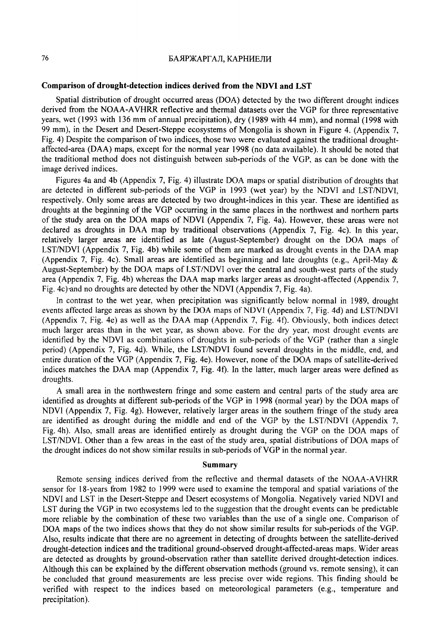#### БАЯРЖАРГАЛ, КАРНИЕЛИ

# **Comparison of drought-detection indices derived from the NDVI and LST**

Spatial distribution of drought occurred areas (DOA) detected by the two different drought indices derived from the NOAA-AVHRR reflective and thermal datasets over the VGP for three representative years, wet (1993 with 136 mm of annual precipitation), dry (1989 with 44 mm), and normal (1998 with 99 mm), in the Desert and Desert-Steppe ecosystems of Mongolia is shown in Figure 4. (Appendix 7, Fig. 4) Despite the comparison of two indices, those two were evaluated against the traditional droughtaffected-area (DAA) maps, except for the normal year 1998 (no data available). It should be noted that the traditional method does not distinguish between sub-periods of the VGP, as can be done with the image derived indices.

Figures 4a and 4b (Appendix 7, Fig. 4) illustrate DOA maps or spatial distribution of droughts that are detected in different sub-periods of the VGP in 1993 (wet year) by the NDVI and LST/NDVI, respectively. Only some areas are detected by two drought-indices in this year. These are identified as droughts at the beginning of the VGP occurring in the same places in the northwest and northern parts of the study area on the DOA maps of NDVI (Appendix 7, Fig. 4a). However, these areas were not declared as droughts in DAA map by traditional observations (Appendix 7, Fig. 4c). In this year, relatively larger areas are identified as late (August-September) drought on the DOA maps of LST/NDVI (Appendix 7, Fig. 4b) while some of them are marked as drought events in the DAA map (Appendix 7, Fig. 4c). Small areas are identified as beginning and late droughts (e.g., April-May & August-September) by the DOA maps of LST/NDVI over the central and south-west parts of the study area (Appendix 7, Fig. 4b) whereas the DAA map marks larger areas as drought-affected (Appendix 7, Fig. 4c)·and no droughts are detected by other the NDVI (Appendix 7, Fig. 4a).

In contrast to the wet year, when precipitation was significantly below normal in 1989, drought events affected large areas as shown by the DOA maps of NOVI (Appendix 7, Fig. 4d) and LST/NDVI (Appendix 7, Fig. 4e) as well as the DAA map (Appendix 7, Fig. 4f). Obviously, both indices detect much larger areas than in the wet year, as shown above. For the dry year, most drought events are identified by the NOVI as combinations of droughts in sub-periods of the VGP (rather than a single period) (Appendix 7, Fig. 4d). While, the LST/NDVI found several droughts in the middle, end, and entire duration of the VGP (Appendix 7, Fig. 4e). However, none of the DOA maps of satellite-derived indices matches the DAA map (Appendix 7, Fig. 4t). In the latter, much larger areas were defined as droughts.

A small area in the northwestern fringe and some eastern and central parts of the study area are identified as droughts at different sub-periods of the VGP in 1998 (normal year) by the DOA maps of NDVI (Appendix 7, Fig. 4g). However, relatively larger areas in the southern fringe of the study area are identified as drought during the middle and end of the VGP by the LST/NDVI (Appendix 7, Fig. 4h). Also, small areas are identified entirely as drought during the VGP on the DOA maps of LST/NDVI. Other than a few areas in the east of the study area, spatial distributions of DOA maps of the drought indices do not show similar results in sub-periods of VGP in the normal year.

#### **Summary**

Remote sensing indices derived from the reflective and thermal datasets of the NOAA-A VHRR sensor for 18-years from 1982 to 1999 were used to examine the temporal and spatial variations of the NDVI and LST in the Desert-Steppe and Desert ecosystems of Mongolia. Negatively varied NDVI and LST during the VGP in two ecosystems led to the suggestion that the drought events can be predictable more reliable by the combination of these two variables than the use of a single one. Comparison of DOA maps of the two indices shows that they do not show similar results for sub-periods of the VGP. Also, results indicate that there are no agreement in detecting of droughts between the satellite-derived drought-detection indices and the traditional ground-observed drought-affected-areas maps. Wider areas are detected as droughts by ground-observation rather than satellite derived drought-detection indices. Although this can be explained by the different observation methods (ground vs. remote sensing), it can be concluded that ground measurements are less precise over wide regions. This finding should be verified with respect to the indices based on meteorological parameters (e.g., temperature and precipitation).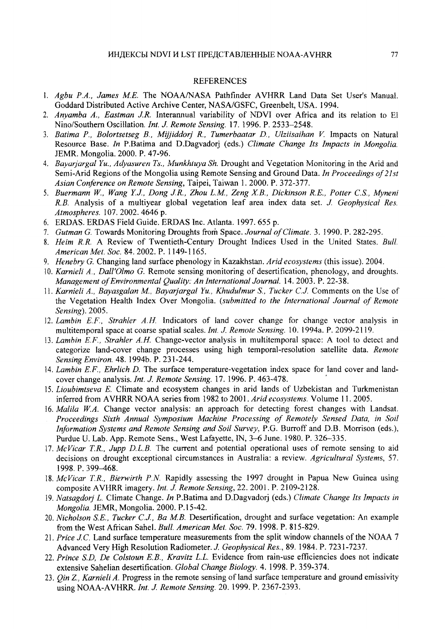### REFERENCES

- l. *Agbu P.A., James ME.* The NOAA/NASA Pathfinder A VHRR Land Data Set User's Manual. Goddard Distributed Active Archive Center, NASA/GSFC, Greenbelt, USA. 1994.
- 2. *Anyamba A., Eastman J.R.* Interannual variability of NDVI over Africa and its relation to El Nino/Southern Oscillation. *Int. J. Remote Sensing.* 17. 1996. P. 2533-2548.
- 3. *Batima P., Bolortsetseg B., Mijjiddorj R., Tumerbaatar D., Ulziisaihan* V. Impacts on Natural Resource Base. *In* P.Batima and D.Dagvadorj (eds.) *Climate Change Its Impacts in Mongolia.*  JEMR. Mongolia. 2000. P. 47-96.
- 4. *Bayarjargal Yu., Adyusuren Ts., Munkhiuya Sh.* Drought and Vegetation Monitoring in the Arid and Semi-Arid Regions of the Mongolia using Remote Sensing and Ground Data. *In Proceedings of 21st Asian Conference on Remote Sensing,* Taipei, Taiwan 1. 2000. P. 372-377.
- 5. *Buermann W., Wang YJ., Dong J.R., Zhou L.M, Zeng XB., Dickinson R.E., Potter* C.S., *Myneni R.B.* Analysis of a multiyear global vegetation leaf area index data set. *J. Geophysical Res. Atmospheres.* 107. 2002. 4646 p.
- 6. ERDAS. ERDAS Field Guide. ERDAS Inc. Atlanta. 1997. 655 p.
- 7. *Gutman G.* Towards Monitoring Droughts from Space. *Journal of Climate.* 3. 1990. P. 282-295.
- 8. *Heim R.R.* A Review of Twentieth-Century Drought Indices Used in the United States. *Bull. American Met. Soc.* 84. 2002. P. 1149-1165.
- 9. *Henebry G.* Changing land surface phenology in Kazakhstan. *Arid ecosystems* (this issue). 2004.
- 10. *Karnieli A .. Dall'Olmo G.* Remote sensing monitoring of desertification, phenology, and droughts. *Management of Environmental Quality: An International Journal.* 14. 2003. P. 22-38.
- 11. *Karnieli A., Bayasgalan M. Bayarjargal Yu., Khudulmur* S., *Tucker CJ.* Comments on the Use of the Vegetation Health Index Over Mongolia. *(submitted to the International Journal of Remote Sensing).* 2005.
- 12. *Lambin E.F., Strahler A.H.* Indicators of land cover change for change vector analysis in multitemporal space at coarse spatial scales. *Int. J. Remote Sensing.* 10. l 994a. P. 2099-2119.
- 13. *Lambin E.F., Strahler A.H.* Change-vector analysis in multitemporal space: A tool to detect and categorize land-cover change processes using high temporal-resolution satellite data. *Remote Sensing Environ.* 48. 1994b. P. 231-244.
- 14. *Lambin E.F., Ehrlich D.* The surface temperature-vegetation index space for land cover and landcover change analysis. *Int. J. Remote Sensing.* 17. 1996. P. 463-478. '
- 15. *Lioubimtseva E.* Climate and ecosystem changes in arid lands of Uzbekistan and Turkmenistan inferred from AVHRR NOAA series from 1982 to 2001. *Arid ecosystems.* Volume 11. 2005.
- 16. *Malila W.A.* Change vector analysis: an approach for detecting forest changes with Landsat. *Proceedings Sixth Annual Symposium Machine Processing of Remotely Sensed Data, in Soil lriformation Systems and Remote Sensing and Soil Survey,* P.G. Burroff and D.B. Morrison (eds.), Purdue U. Lab. App. Remote Sens., West Lafayette, IN, 3-6 June. 1980. P. 326-335.
- 17. *McVicar TR., Jupp D.L.B.* The current and potential operational uses of remote sensing to aid decisions on drought exceptional circumstances in Australia: a review. *Agricultural Systems,* 57. 1998. P. 399-468.
- 18. *McVicar T.R., Bierwirth P.N.* Rapidly assessing the 1997 drought in Papua New Guinea using composite AVHRR imagery. *Int. J. Remote Sensing,* 22. 2001. P. 2109-2128.
- 19. *Natsagdorj L.* Climate Change. *Jn* P.Batima and D.Dagvadorj (eds.) *Climate Change Its Impacts in Mongolia.* JEMR, Mongolia. 2000. P.15-42.
- 20. *Nicholson SE., Tucker CJ., Ba MB.* Desertification, drought and surface vegetation: An example from the West African Sahel. *Bull. American Met. Soc.* 79. 1998. P. 815-829.
- 21. *Price J.C.* Land surface temperature measurements from the split window channels of the NOAA 7 Advanced Very High Resolution Radiometer. J *Geophysical Res.,* 89. 1984. P. 7231-7237.
- 22. *Prince S.D, De Colstoun E.B., Kravitz L.L.* Evidence from rain-use efficiencies does not indicate extensive Sahelian desertification. *Global Change Biology.* 4. 1998. P. 359-374.
- 23. *Qin* Z., *Karnieli A.* Progress in the remote sensing of land surface temperature and ground emissivity using NOAA-AVHRR. *Int. J. Remote Sensing.* 20. 1999. P. 2367-2393.